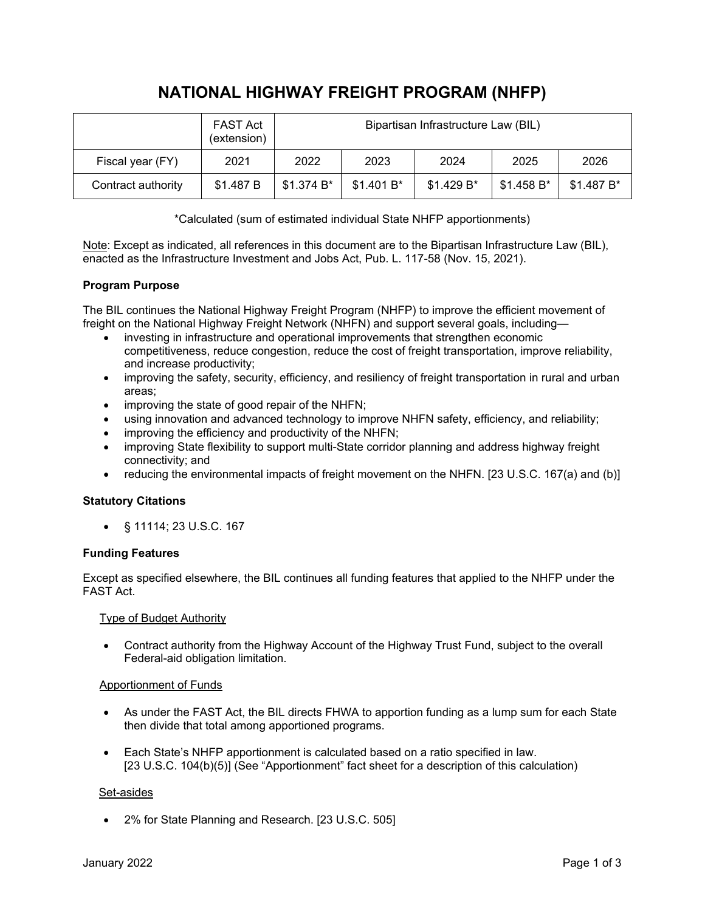# **NATIONAL HIGHWAY FREIGHT PROGRAM (NHFP)**

|                    | <b>FAST Act</b><br>(extension) | Bipartisan Infrastructure Law (BIL) |             |             |             |            |
|--------------------|--------------------------------|-------------------------------------|-------------|-------------|-------------|------------|
| Fiscal year (FY)   | 2021                           | 2022                                | 2023        | 2024        | 2025        | 2026       |
| Contract authority | \$1.487 B                      | \$1.374 B*                          | $$1.401 B*$ | $$1.429 B*$ | $$1.458 B*$ | \$1.487 B* |

\*Calculated (sum of estimated individual State NHFP apportionments)

Note: Except as indicated, all references in this document are to the Bipartisan Infrastructure Law (BIL), enacted as the Infrastructure Investment and Jobs Act, Pub. L. 117-58 (Nov. 15, 2021).

## **Program Purpose**

The BIL continues the National Highway Freight Program (NHFP) to improve the efficient movement of freight on the National Highway Freight Network (NHFN) and support several goals, including—

- investing in infrastructure and operational improvements that strengthen economic competitiveness, reduce congestion, reduce the cost of freight transportation, improve reliability, and increase productivity;
- improving the safety, security, efficiency, and resiliency of freight transportation in rural and urban areas;
- improving the state of good repair of the NHFN;
- using innovation and advanced technology to improve NHFN safety, efficiency, and reliability;
- improving the efficiency and productivity of the NHFN;
- improving State flexibility to support multi-State corridor planning and address highway freight connectivity; and
- reducing the environmental impacts of freight movement on the NHFN. [23 U.S.C. 167(a) and (b)]

## **Statutory Citations**

• § 11114; 23 U.S.C. 167

## **Funding Features**

Except as specified elsewhere, the BIL continues all funding features that applied to the NHFP under the FAST Act.

## Type of Budget Authority

• Contract authority from the Highway Account of the Highway Trust Fund, subject to the overall Federal-aid obligation limitation.

## Apportionment of Funds

- As under the FAST Act, the BIL directs FHWA to apportion funding as a lump sum for each State then divide that total among apportioned programs.
- Each State's NHFP apportionment is calculated based on a ratio specified in law. [23 U.S.C. 104(b)(5)] (See "Apportionment" fact sheet for a description of this calculation)

## Set-asides

• 2% for State Planning and Research. [23 U.S.C. 505]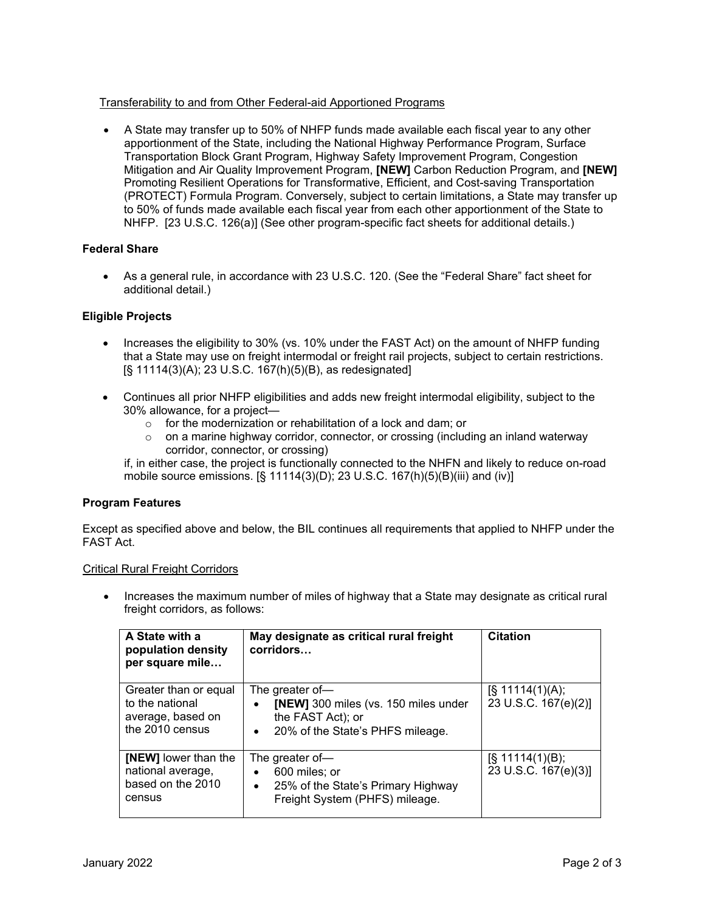# Transferability to and from Other Federal-aid Apportioned Programs

• A State may transfer up to 50% of NHFP funds made available each fiscal year to any other apportionment of the State, including the National Highway Performance Program, Surface Transportation Block Grant Program, Highway Safety Improvement Program, Congestion Mitigation and Air Quality Improvement Program, **[NEW]** Carbon Reduction Program, and **[NEW]** Promoting Resilient Operations for Transformative, Efficient, and Cost-saving Transportation (PROTECT) Formula Program. Conversely, subject to certain limitations, a State may transfer up to 50% of funds made available each fiscal year from each other apportionment of the State to NHFP. [23 U.S.C. 126(a)] (See other program-specific fact sheets for additional details.)

# **Federal Share**

• As a general rule, in accordance with 23 U.S.C. 120. (See the "Federal Share" fact sheet for additional detail.)

## **Eligible Projects**

- Increases the eligibility to 30% (vs. 10% under the FAST Act) on the amount of NHFP funding that a State may use on freight intermodal or freight rail projects, subject to certain restrictions. [§ 11114(3)(A); 23 U.S.C. 167(h)(5)(B), as redesignated]
- Continues all prior NHFP eligibilities and adds new freight intermodal eligibility, subject to the 30% allowance, for a project
	- o for the modernization or rehabilitation of a lock and dam; or
	- $\circ$  on a marine highway corridor, connector, or crossing (including an inland waterway corridor, connector, or crossing)

if, in either case, the project is functionally connected to the NHFN and likely to reduce on-road mobile source emissions. [§ 11114(3)(D); 23 U.S.C. 167(h)(5)(B)(iii) and (iv)]

## **Program Features**

Except as specified above and below, the BIL continues all requirements that applied to NHFP under the FAST Act.

## Critical Rural Freight Corridors

• Increases the maximum number of miles of highway that a State may designate as critical rural freight corridors, as follows:

| A State with a<br>population density<br>per square mile                          | May designate as critical rural freight<br>corridors                                                                                       | <b>Citation</b>                            |
|----------------------------------------------------------------------------------|--------------------------------------------------------------------------------------------------------------------------------------------|--------------------------------------------|
| Greater than or equal<br>to the national<br>average, based on<br>the 2010 census | The greater of-<br>[NEW] 300 miles (vs. 150 miles under<br>$\bullet$<br>the FAST Act); or<br>20% of the State's PHFS mileage.<br>$\bullet$ | $[\S 11114(1)(A);$<br>23 U.S.C. 167(e)(2)] |
| <b>[NEW]</b> lower than the<br>national average,<br>based on the 2010<br>census  | The greater of-<br>600 miles; or<br>$\bullet$<br>25% of the State's Primary Highway<br>$\bullet$<br>Freight System (PHFS) mileage.         | $[\S 11114(1)(B);$<br>23 U.S.C. 167(e)(3)] |